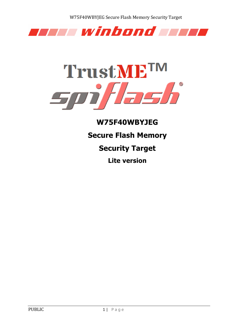



**W75F40WBYJEG Secure Flash Memory Security Target Lite version**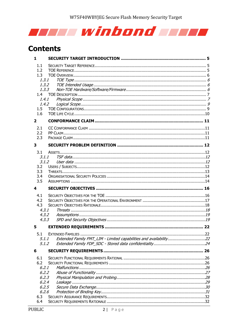

## **Contents**

| $\mathbf{1}$                                                                            |                                                                   |  |
|-----------------------------------------------------------------------------------------|-------------------------------------------------------------------|--|
| 1.1<br>1.2<br>1.3<br>1, 3, 1<br>1, 3, 2<br>1.3.3<br>1.4<br>1.4.1<br>1.4.2<br>1.5<br>1.6 |                                                                   |  |
| $\mathbf{2}$                                                                            |                                                                   |  |
| 2.1<br>2.2                                                                              |                                                                   |  |
| 2.3                                                                                     |                                                                   |  |
| $\overline{\mathbf{3}}$                                                                 |                                                                   |  |
| 3.1                                                                                     |                                                                   |  |
| 3.1.1                                                                                   | 3.1.2                                                             |  |
| 3.2                                                                                     |                                                                   |  |
| 3.3                                                                                     |                                                                   |  |
| 3.4                                                                                     |                                                                   |  |
| 3.5                                                                                     |                                                                   |  |
| $\blacktriangle$                                                                        |                                                                   |  |
| 4.1<br>4.2                                                                              |                                                                   |  |
| 4.3                                                                                     |                                                                   |  |
| 4, 3, 1                                                                                 |                                                                   |  |
| 4, 3, 2                                                                                 |                                                                   |  |
| 4.3.3                                                                                   |                                                                   |  |
| 5                                                                                       |                                                                   |  |
| 5.1                                                                                     | EXTENDED FAMILIES<br>22                                           |  |
| 5.1.1<br>5.1.2                                                                          | Extended Family FMT_LIM - Limited capabilities and availability22 |  |
| 6                                                                                       |                                                                   |  |
|                                                                                         |                                                                   |  |
| 6.1<br>6.2                                                                              |                                                                   |  |
| 6.2.1                                                                                   |                                                                   |  |
| 6.2.2                                                                                   |                                                                   |  |
| 6.2.3<br>6.2.4                                                                          |                                                                   |  |
| 6.2.5                                                                                   |                                                                   |  |
| 6.2.6                                                                                   |                                                                   |  |
| 6.3                                                                                     |                                                                   |  |
| 6.4                                                                                     |                                                                   |  |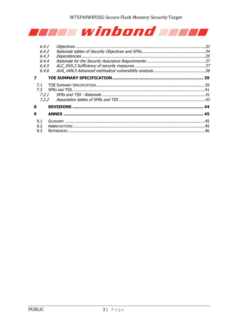

| 6.4.1<br>6.4.2<br>6.4.3<br>6.4.4 |  |
|----------------------------------|--|
| 6.4.5<br>6.4.6                   |  |
| $\overline{\mathbf{z}}$          |  |
| 7.1<br>7.2<br>7.2.1<br>7.2.2     |  |
| 8                                |  |
| 9                                |  |
| 9.1<br>9.2<br>9.3                |  |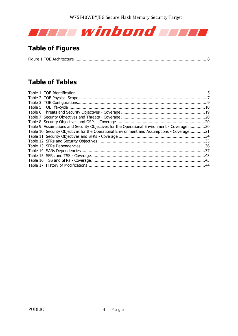

## **Table of Figures**

|--|--|

## **Table of Tables**

| Table 9 Assumptions and Security Objectives for the Operational Environment - Coverage 20 |  |
|-------------------------------------------------------------------------------------------|--|
| Table 10 Security Objectives for the Operational Environment and Assumptions - Coverage21 |  |
|                                                                                           |  |
|                                                                                           |  |
|                                                                                           |  |
|                                                                                           |  |
|                                                                                           |  |
|                                                                                           |  |
|                                                                                           |  |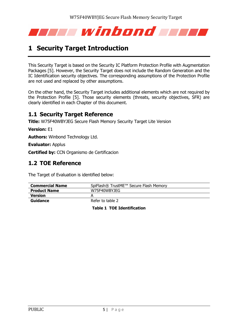

## <span id="page-4-0"></span>**1 Security Target Introduction**

This Security Target is based on the Security IC Platform Protection Profile with Augmentation Packages [5]. However, the Security Target does not include the Random Generation and the IC Identification security objectives. The corresponding assumptions of the Protection Profile are not used and replaced by other assumptions.

On the other hand, the Security Target includes additional elements which are not required by the Protection Profile [5]. Those security elements (threats, security objectives, SFR) are clearly identified in each Chapter of this document.

## <span id="page-4-1"></span>**1.1 Security Target Reference**

**Title:** W75F40WBYJEG Secure Flash Memory Security Target Lite Version

**Version:** E1

**Authors:** Winbond Technology Ltd.

**Evaluator:** Applus

**Certified by:** CCN Organismo de Certificacion

## <span id="page-4-2"></span>**1.2 TOE Reference**

The Target of Evaluation is identified below:

<span id="page-4-3"></span>

| <b>Commercial Name</b> | SpiFlash® TrustME™ Secure Flash Memory |
|------------------------|----------------------------------------|
| <b>Product Name</b>    | W75F40WBYJEG                           |
| <b>Version</b>         |                                        |
| Guidance               | Refer to table 2                       |

**Table 1 TOE Identification**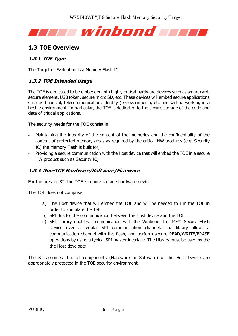

## <span id="page-5-0"></span>**1.3 TOE Overview**

## <span id="page-5-1"></span>**1.3.1 TOE Type**

The Target of Evaluation is a Memory Flash IC.

### <span id="page-5-2"></span>**1.3.2 TOE Intended Usage**

The TOE is dedicated to be embedded into highly critical hardware devices such as smart card, secure element, USB token, secure micro SD, etc. These devices will embed secure applications such as financial, telecommunication, identity (e-Government), etc and will be working in a hostile environment. In particular, the TOE is dedicated to the secure storage of the code and data of critical applications.

The security needs for the TOE consist in:

- Maintaining the integrity of the content of the memories and the confidentiality of the content of protected memory areas as required by the critical HW products (e.g. Security IC) the Memory Flash is built for;
- Providing a secure communication with the Host device that will embed the TOE in a secure HW product such as Security IC;

#### <span id="page-5-3"></span>**1.3.3 Non-TOE Hardware/Software/Firmware**

For the present ST, the TOE is a pure storage hardware device.

The TOE does not comprise:

- a) The Host device that will embed the TOE and will be needed to run the TOE in order to stimulate the TSF
- b) SPI Bus for the communication between the Host device and the TOE
- c) SFI Library enables communication with the Winbond TrustME™ Secure Flash Device over a regular SPI communication channel. The library allows a communication channel with the flash, and perform secure READ/WRITE/ERASE operations by using a typical SPI master interface. The Library must be used by the the Host developer

The ST assumes that all components (Hardware or Software) of the Host Device are appropriately protected in the TOE security environment.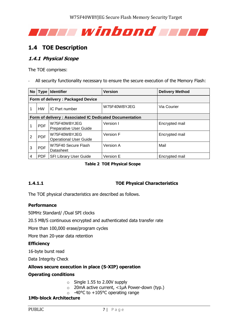

## <span id="page-6-0"></span>**1.4 TOE Description**

#### <span id="page-6-1"></span>**1.4.1 Physical Scope**

The TOE comprises:

All security functionality necessary to ensure the secure execution of the Memory Flash:

|   |            | No   Type   Identifier                                  | <b>Version</b> | <b>Delivery Method</b> |
|---|------------|---------------------------------------------------------|----------------|------------------------|
|   |            | Form of delivery : Packaged Device                      |                |                        |
|   | HW         | IC Part number                                          | W75F40WBYJEG   | Via Courier            |
|   |            | Form of delivery: Associated IC Dedicated Documentation |                |                        |
|   | <b>PDF</b> | W75F40WBYJEG<br><b>Preparative User Guide</b>           | Version I      | Encrypted mail         |
| 2 | <b>PDF</b> | W75F40WBYJEG<br><b>Operational User Guide</b>           | Version F      | Encrypted mail         |
| 3 | <b>PDF</b> | W75F40 Secure Flash<br>Datasheet                        | Version A      | Mail                   |
|   | <b>PDF</b> | <b>SFI Library User Guide</b>                           | Version E      | Encrypted mail         |

#### **Table 2 TOE Physical Scope**

#### <span id="page-6-2"></span>**1.4.1.1 TOE Physical Characteristics**

The TOE physical characteristics are described as follows.

#### **Performance**

50MHz Standard/ /Dual SPI clocks

20.5 MB/S continuous encrypted and authenticated data transfer rate

More than 100,000 erase/program cycles

More than 20-year data retention

#### **Efficiency**

16-byte burst read

Data Integrity Check

#### **Allows secure execution in place (S-XIP) operation**

#### **Operating conditions**

- o Single 1.55 to 2.00V supply
- o 20mA active current, <1μA Power-down (typ.)
- $\circ$  -40°C to +105°C operating range

#### **1Mb-block Architecture**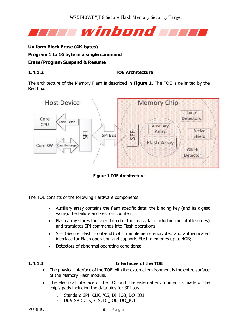

**Uniform Block Erase (4K-bytes) Program 1 to 16 byte in a single command Erase/Program Suspend & Resume**

#### **1.4.1.2 TOE Architecture**

The architecture of the Memory Flash is described in **Figure 1**. The TOE is delimited by the Red box.



**Figure 1 TOE Architecture**

<span id="page-7-0"></span>The TOE consists of the following Hardware components

- Auxiliary array contains the flash specific data: the binding key (and its digest value), the failure and session counters;
- Flash array stores the User data (i.e. the mass data including executable codes) and translates SPI commands into Flash operations;
- SFF (Secure Flash Front-end) which implements encrypted and authenticated interface for Flash operation and supports Flash memories up to 4GB;
- Detectors of abnormal operating conditions;

#### **1.4.1.3 Interfaces of the TOE**

- The physical interface of the TOE with the external environment is the entire surface of the Memory Flash module.
- The electrical interface of the TOE with the external environment is made of the chip's pads including the data pins for SPI bus:
	- o Standard SPI: CLK, /CS, DI IO0, DO IO1
	- o Dual SPI: CLK, /CS, DI\_IO0, DO\_IO1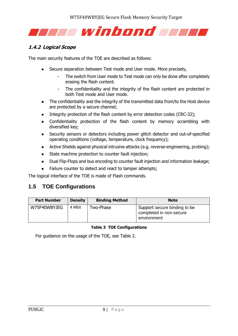

#### <span id="page-8-0"></span>**1.4.2 Logical Scope**

The main security features of the TOE are described as follows:

- Secure separation between Test mode and User mode. More precisely,
	- The switch from User mode to Test mode can only be done after completely erasing the flash content.
	- The confidentiality and the integrity of the flash content are protected in both Test mode and User mode.
- ⚫ The confidentiality and the integrity of the transmitted data from/to the Host device are protected by a secure channel;
- Integrity protection of the flash content by error detection codes (CRC-32);
- Confidentiality protection of the flash content by memory scrambling with diversified key;
- ⚫ Security sensors or detectors including power glitch detector and out-of-specified operating conditions (voltage, temperature, clock frequency);
- ⚫ Active Shields against physical intrusive attacks (e.g. reverse-engineering, probing);
- ⚫ State machine protection to counter fault injection;
- ⚫ Dual Flip-Flops and bus encoding to counter fault injection and information leakage;
- Failure counter to detect and react to tamper attempts;

The logical interface of the TOE is made of Flash commands.

## <span id="page-8-1"></span>**1.5 TOE Configurations**

| <b>Part Number</b> | <b>Density</b> | <b>Binding Method</b> | <b>Note</b>                                                            |
|--------------------|----------------|-----------------------|------------------------------------------------------------------------|
| W75F40WBYJEG       | 4 Mbit         | Two-Phase             | Support secure binding to be<br>completed in non-secure<br>environment |

#### <span id="page-8-2"></span>**Table 3 TOE Configurations**

For guidance on the usage of the TOE, see Table 2.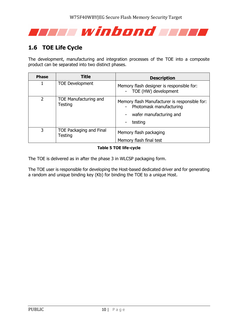

## <span id="page-9-0"></span>**1.6 TOE Life Cycle**

The development, manufacturing and integration processes of the TOE into a composite product can be separated into two distinct phases.

| <b>Phase</b> | <b>Title</b>                            | <b>Description</b>                                                       |
|--------------|-----------------------------------------|--------------------------------------------------------------------------|
| 1            | <b>TOE Development</b>                  | Memory flash designer is responsible for:<br>TOE (HW) development        |
| 2            | <b>TOE Manufacturing and</b><br>Testing | Memory flash Manufacturer is responsible for:<br>Photomask manufacturing |
|              |                                         | wafer manufacturing and                                                  |
|              |                                         | testing                                                                  |
| 3            | TOE Packaging and Final<br>Testing      | Memory flash packaging                                                   |
|              |                                         | Memory flash final test                                                  |

#### **Table 5 TOE life-cycle**

<span id="page-9-1"></span>The TOE is delivered as in after the phase 3 in WLCSP packaging form.

The TOE user is responsible for developing the Host-based dedicated driver and for generating a random and unique binding key (Kb) for binding the TOE to a unique Host.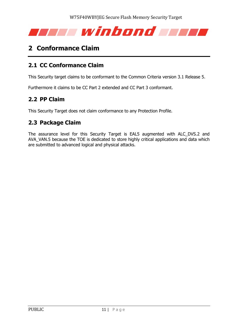

## <span id="page-10-0"></span>**2 Conformance Claim**

## <span id="page-10-1"></span>**2.1 CC Conformance Claim**

This Security target claims to be conformant to the Common Criteria version 3.1 Release 5.

Furthermore it claims to be CC Part 2 extended and CC Part 3 conformant.

## <span id="page-10-2"></span>**2.2 PP Claim**

This Security Target does not claim conformance to any Protection Profile.

## <span id="page-10-3"></span>**2.3 Package Claim**

The assurance level for this Security Target is EAL5 augmented with ALC\_DVS.2 and AVA\_VAN.5 because the TOE is dedicated to store highly critical applications and data which are submitted to advanced logical and physical attacks.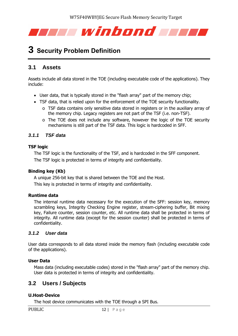

## <span id="page-11-0"></span>**3 Security Problem Definition**

## <span id="page-11-1"></span>**3.1 Assets**

Assets include all data stored in the TOE (including executable code of the applications). They include:

- User data, that is typically stored in the "flash array" part of the memory chip;
- TSF data, that is relied upon for the enforcement of the TOE security functionality.
	- o TSF data contains only sensitive data stored in registers or in the auxiliary array of the memory chip. Legacy registers are not part of the TSF (i.e. non-TSF).
	- o The TOE does not include any software, however the logic of the TOE security mechanisms is still part of the TSF data. This logic is hardcoded in SFF.

#### <span id="page-11-2"></span>*3.1.1 TSF data*

#### **TSF logic**

The TSF logic is the functionality of the TSF, and is hardcoded in the SFF component. The TSF logic is protected in terms of integrity and confidentiality.

#### **Binding key (Kb)**

A unique 256-bit key that is shared between the TOE and the Host. This key is protected in terms of integrity and confidentiality.

#### **Runtime data**

The internal runtime data necessary for the execution of the SFF: session key, memory scrambling keys, Integrity Checking Engine register, stream-ciphering buffer, Bit mixing key, Failure counter, session counter, etc. All runtime data shall be protected in terms of integrity. All runtime data (except for the session counter) shall be protected in terms of confidentiality.

#### <span id="page-11-3"></span>*3.1.2 User data*

User data corresponds to all data stored inside the memory flash (including executable code of the applications).

#### **User Data**

Mass data (including executable codes) stored in the "flash array" part of the memory chip. User data is protected in terms of integrity and confidentiality.

## <span id="page-11-4"></span>**3.2 Users / Subjects**

#### **U.Host-Device**

The host device communicates with the TOE through a SPI Bus.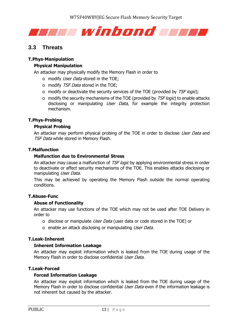

### <span id="page-12-0"></span>**3.3 Threats**

#### <span id="page-12-1"></span>**T.Phys-Manipulation**

#### **Physical Manipulation**

An attacker may physically modify the Memory Flash in order to

- o modify User Data stored in the TOE;
- o modify *TSF Data* stored in the TOE;
- o modify or deactivate the security services of the TOE (provided by TSF logic);
- o modify the security mechanisms of the TOE (provided by TSF logic) to enable attacks disclosing or manipulating *User Data*, for example the integrity protection mechanism.

#### <span id="page-12-2"></span>**T.Phys-Probing**

#### **Physical Probing**

An attacker may perform physical probing of the TOE in order to disclose User Data and TSF Data while stored in Memory Flash.

#### <span id="page-12-3"></span>**T.Malfunction**

#### **Malfunction due to Environmental Stress**

An attacker may cause a malfunction of TSF logic by applying environmental stress in order to deactivate or affect security mechanisms of the TOE. This enables attacks disclosing or manipulating User Data.

This may be achieved by operating the Memory Flash outside the normal operating conditions.

#### <span id="page-12-4"></span>**T.Abuse-Func**

#### **Abuse of Functionality**

An attacker may use functions of the TOE which may not be used after TOE Delivery in order to

- o disclose or manipulate User Data (user data or code stored in the TOE) or
- o enable an attack disclosing or manipulating User Data.

#### <span id="page-12-5"></span>**T.Leak-Inherent**

#### **Inherent Information Leakage**

An attacker may exploit information which is leaked from the TOE during usage of the Memory Flash in order to disclose confidential User Data.

#### <span id="page-12-6"></span>**T.Leak-Forced**

#### **Forced Information Leakage**

An attacker may exploit information which is leaked from the TOE during usage of the Memory Flash in order to disclose confidential *User Data* even if the information leakage is not inherent but caused by the attacker.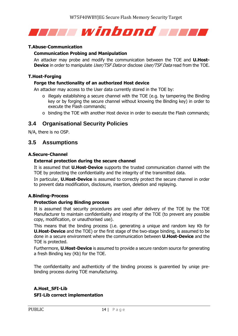

#### <span id="page-13-2"></span>**T.Abuse-Communication**

#### **Communication Probing and Manipulation**

An attacker may probe and modify the communication between the TOE and **U.Host-Device** in order to manipulate *User/TSF Data* or disclose *User/TSF Data* read from the TOE.

#### <span id="page-13-3"></span>**T.Host-Forging**

#### **Forge the functionality of an authorized Host device**

An attacker may access to the User data currently stored in the TOE by:

- o illegaly establishing a secure channel with the TOE (e.g. by tampering the Binding key or by forging the secure channel without knowing the Binding key) in order to execute the Flash commands;
- o binding the TOE with another Host device in order to execute the Flash commands;

#### <span id="page-13-0"></span>**3.4 Organisational Security Policies**

<span id="page-13-1"></span>N/A, there is no OSP.

#### **3.5 Assumptions**

#### <span id="page-13-4"></span>**A.Secure-Channel**

#### **External protection during the secure channel**

It is assumed that **U.Host-Device** supports the trusted communication channel with the TOE by protecting the confidentiality and the integrity of the transmitted data.

In particular, **U.Host-Device** is assumed to correctly protect the secure channel in order to prevent data modification, disclosure, insertion, deletion and replaying.

#### <span id="page-13-5"></span>**A.Binding-Process**

#### **Protection during Binding process**

It is assumed that security procedures are used after delivery of the TOE by the TOE Manufacturer to maintain confidentiality and integrity of the TOE (to prevent any possible copy, modification, or unauthorised use).

This means that the binding process (i.e. generating a unique and random key Kb for **U.Host-Device** and the TOE) or the first stage of the two-stage binding, is assumed to be done in a secure environment where the communication between **U.Host-Device** and the TOE is protected.

Furthermore, **U.Host-Device** is assumed to provide a secure random source for generating a fresh Binding key (Kb) for the TOE.

The confidentiality and authenticity of the binding process is guarentied by uniqe prebinding process during TOE manufacturing.

#### **A.Host\_SFI-Lib SFI-Lib correct implementation**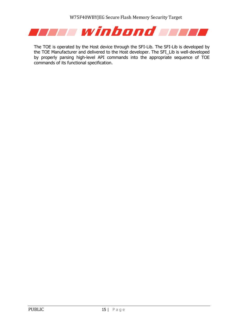

The TOE is operated by the Host device through the SFI-Lib. The SFI-Lib is developed by the TOE Manufacturer and delivered to the Host developer. The SFI\_Lib is well-developed by properly parsing high-level API commands into the appropriate sequence of TOE commands of its functional specification.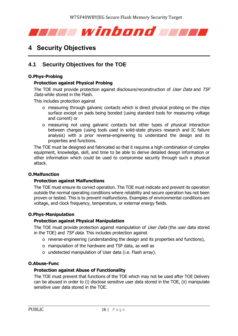

## <span id="page-15-0"></span>**4 Security Objectives**

## <span id="page-15-1"></span>**4.1 Security Objectives for the TOE**

#### <span id="page-15-3"></span>**O.Phys-Probing**

#### **Protection against Physical Probing**

The TOE must provide protection against disclosure/reconstruction of *User Data* and TSF Data while stored in the Flash.

This includes protection against

- o measuring through galvanic contacts which is direct physical probing on the chips surface except on pads being bonded (using standard tools for measuring voltage and current) or
- o measuring not using galvanic contacts but other types of physical interaction between charges (using tools used in solid-state physics research and IC failure analysis) with a prior reverse-engineering to understand the design and its properties and functions.

The TOE must be designed and fabricated so that it requires a high combination of complex equipment, knowledge, skill, and time to be able to derive detailed design information or other information which could be used to compromise security through such a physical attack.

#### <span id="page-15-4"></span>**O.Malfunction**

#### **Protection against Malfunctions**

The TOE must ensure its correct operation. The TOE must indicate and prevent its operation outside the normal operating conditions where reliability and secure operation has not been proven or tested. This is to prevent malfunctions. Examples of environmental conditions are voltage, and clock frequency, temperature, or external energy fields.

#### <span id="page-15-2"></span>**O.Phys-Manipulation**

#### **Protection against Physical Manipulation**

The TOE must provide protection against manipulation of User Data (the user data stored in the TOE) and *TSF data*. This includes protection against

- o reverse-engineering (understanding the design and its properties and functions),
- o manipulation of the hardware and TSF data, as well as
- o undetected manipulation of User data (i.e. Flash array).

#### <span id="page-15-5"></span>**O.Abuse-Func**

#### **Protection against Abuse of Functionality**

The TOE must prevent that functions of the TOE which may not be used after TOE Delivery can be abused in order to (i) disclose sensitive user data stored in the TOE, (ii) manipulate sensitive user data stored in the TOE.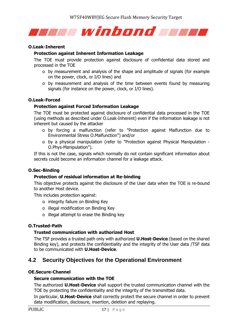

#### <span id="page-16-1"></span>**O.Leak-Inherent**

#### **Protection against Inherent Information Leakage**

The TOE must provide protection against disclosure of confidential data stored and processed in the TOE

- o by measurement and analysis of the shape and amplitude of signals (for example on the power, clock, or I/O lines) and
- o by measurement and analysis of the time between events found by measuring signals (for instance on the power, clock, or I/O lines).

#### <span id="page-16-2"></span>**O.Leak-Forced**

#### **Protection against Forced Information Leakage**

The TOE must be protected against disclosure of confidential data processed in the TOE (using methods as described under O.Leak-Inherent) even if the information leakage is not inherent but caused by the attacker

- o by forcing a malfunction (refer to "Protection against Malfunction due to Environmental Stress O.Malfunction") and/or
- o by a physical manipulation (refer to "Protection against Physical Manipulation O.Phys-Manipulation").

If this is not the case, signals which normally do not contain significant information about secrets could become an information channel for a leakage attack.

#### <span id="page-16-4"></span>**O.Sec-Binding**

#### **Protection of residual information at Re-binding**

This objective protects against the disclosure of the User data when the TOE is re-bound to another Host device.

This includes protection against:

- o integrity failure on Binding Key
- o illegal modification on Binding Key
- o illegal attempt to erase the Binding key

#### <span id="page-16-3"></span>**O.Trusted-Path**

#### **Trusted communication with authorized Host**

The TSF provides a trusted path only with authorized **U.Host-Device** (based on the shared Binding key), and protects the confidentiality and the integrity of the User data /TSF data to be communicated with **U.Host-Device**.

#### <span id="page-16-0"></span>**4.2 Security Objectives for the Operational Environment**

#### <span id="page-16-5"></span>**OE.Secure-Channel**

#### **Secure communication with the TOE**

The authorized **U.Host-Device** shall support the trusted communication channel with the TOE by protecting the confidentiality and the integrity of the transmitted data.

In particular, **U.Host-Device** shall correctly protect the secure channel in order to prevent data modification, disclosure, insertion, deletion and replaying.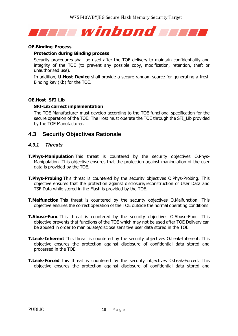

#### <span id="page-17-8"></span>**OE.Binding-Process**

#### **Protection during Binding process**

Security procedures shall be used after the TOE delivery to maintain confidentiality and integrity of the TOE (to prevent any possible copy, modification, retention, theft or unauthorised use).

In addition, **U.Host-Device** shall provide a secure random source for generating a fresh Binding key (Kb) for the TOE.

#### **OE.Host\_SFI-Lib**

#### **SFI-Lib correct implementation**

The TOE Manufacturer must develop according to the TOE functional specification for the secure operation of the TOE. The Host must operate the TOE through the SFI\_Lib provided by the TOE Manufacturer.

## <span id="page-17-0"></span>**4.3 Security Objectives Rationale**

#### <span id="page-17-1"></span>*4.3.1 Threats*

- <span id="page-17-2"></span>**T.Phys-Manipulation** This threat is countered by the security objectives O.Phys-Manipulation. This objective ensures that the protection against manipulation of the user data is provided by the TOE.
- <span id="page-17-3"></span>**T.Phys-Probing** This threat is countered by the security objectives O.Phys-Probing. This objective ensures that the protection against disclosure/reconstruction of User Data and TSF Data while stored in the Flash is provided by the TOE.
- <span id="page-17-4"></span>**T.Malfunction** This threat is countered by the security objectives O.Malfunction. This objective ensures the correct operation of the TOE outside the normal operating conditions.
- <span id="page-17-5"></span>**T.Abuse-Func** This threat is countered by the security objectives O.Abuse-Func. This objective prevents that functions of the TOE which may not be used after TOE Delivery can be abused in order to manipulate/disclose sensitive user data stored in the TOE.
- <span id="page-17-6"></span>**T.Leak-Inherent** This threat is countered by the security objectives O.Leak-Inherent. This objective ensures the protection against disclosure of confidential data stored and processed in the TOE.
- <span id="page-17-7"></span>**T.Leak-Forced** This threat is countered by the security objectives O.Leak-Forced. This objective ensures the protection against disclosure of confidential data stored and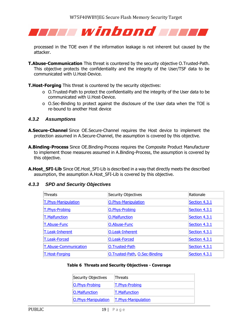

processed in the TOE even if the information leakage is not inherent but caused by the attacker.

<span id="page-18-3"></span>**T.Abuse-Communication** This threat is countered by the security objective O.Trusted-Path. This objective protects the confidentiality and the integrity of the User/TSF data to be communicated with U.Host-Device.

<span id="page-18-4"></span>**T.Host-Forging** This threat is countered by the security objectives:

- o O.Trusted-Path to protect the confidentiality and the integrity of the User data to be communicated with U.Host-Device.
- o O.Sec-Binding to protect against the disclosure of the User data when the TOE is re-bound to another Host device

#### <span id="page-18-0"></span>*4.3.2 Assumptions*

- <span id="page-18-5"></span>**A.Secure-Channel** Since OE.Secure-Channel requires the Host device to implement the protection assumed in A.Secure-Channel, the assumption is covered by this objective.
- <span id="page-18-6"></span>**A.Binding-Process** Since OE.Binding-Process requires the Composite Product Manufacturer to implement those measures assumed in A.Binding-Process, the assumption is covered by this objective.
- **A.Host SFI-Lib** Since OE.Host SFI-Lib is described in a way that directly meets the described assumption, the assumption A.Host\_SFI-Lib is covered by this objective.

#### <span id="page-18-1"></span>*4.3.3 SPD and Security Objectives*

| Threats                      | Security Objectives           | Rationale            |
|------------------------------|-------------------------------|----------------------|
| T. Phys-Manipulation         | O.Phys-Manipulation           | <b>Section 4.3.1</b> |
| T.Phys-Probing               | O.Phys-Probing                | Section 4.3.1        |
| <b>T.Malfunction</b>         | O.Malfunction                 | Section 4.3.1        |
| <b>T.Abuse-Func</b>          | O.Abuse-Func                  | Section 4.3.1        |
| T.Leak-Inherent              | O.Leak-Inherent               | Section 4.3.1        |
| T.Leak-Forced                | O.Leak-Forced                 | Section 4.3.1        |
| <b>T.Abuse-Communication</b> | O.Trusted-Path                | Section 4.3.1        |
| <b>T.Host-Forging</b>        | O.Trusted-Path, O.Sec-Binding | Section 4.3.1        |

#### <span id="page-18-2"></span>**Table 6 Threats and Security Objectives - Coverage**

| Security Objectives        | Threats             |
|----------------------------|---------------------|
| <b>O.Phys-Probing</b>      | T.Phys-Probing      |
| <b>O.Malfunction</b>       | T.Malfunction       |
| <b>O.Phys-Manipulation</b> | T.Phys-Manipulation |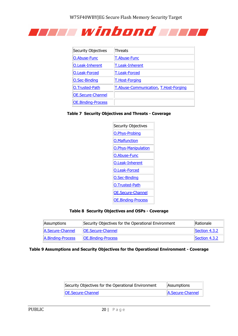

| Security Objectives       | <b>Threats</b>                               |
|---------------------------|----------------------------------------------|
| O.Abuse-Func              | <b>T.Abuse-Func</b>                          |
| O.Leak-Inherent           | T.Leak-Inherent                              |
| O.Leak-Forced             | <b>T.Leak-Forced</b>                         |
| <b>O.Sec-Binding</b>      | <b>T.Host-Forging</b>                        |
| O.Trusted-Path            | <b>T.Abuse-Communication, T.Host-Forging</b> |
| <b>OE.Secure-Channel</b>  |                                              |
| <b>OE.Binding-Process</b> |                                              |

#### <span id="page-19-0"></span>**Table 7 Security Objectives and Threats - Coverage**

| Security Objectives        |
|----------------------------|
| <b>O.Phys-Probing</b>      |
| <b>O.Malfunction</b>       |
| <b>O.Phys-Manipulation</b> |
| O.Abuse-Func               |
| <b>O.Leak-Inherent</b>     |
| O.Leak-Forced              |
| <b>O.Sec-Binding</b>       |
| O.Trusted-Path             |
| OE.Secure-Channel          |
| <b>OE.Binding-Process</b>  |

#### **Table 8 Security Objectives and OSPs - Coverage**

<span id="page-19-1"></span>

| Assumptions       | Security Objectives for the Operational Environment | Rationale     |
|-------------------|-----------------------------------------------------|---------------|
| A.Secure-Channel  | <b>IOE.Secure-Channel</b>                           | Section 4.3.2 |
| A.Binding-Process | <b>OE.Binding-Process</b>                           | Section 4.3.2 |

#### <span id="page-19-2"></span>**Table 9 Assumptions and Security Objectives for the Operational Environment - Coverage**

| Security Objectives for the Operational Environment | Assumptions      |
|-----------------------------------------------------|------------------|
| <b>OE.Secure-Channel</b>                            | A.Secure-Channel |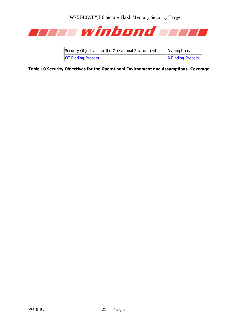W75F40WBYJEG Secure Flash Memory Security Target



| Security Objectives for the Operational Environment | Assumptions       |
|-----------------------------------------------------|-------------------|
| <b>OE.Binding-Process</b>                           | A.Binding-Process |

<span id="page-20-0"></span>**Table 10 Security Objectives for the Operational Environment and Assumptions- Coverage**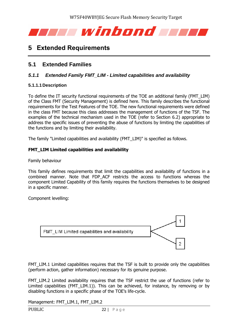

## <span id="page-21-0"></span>**5 Extended Requirements**

## <span id="page-21-1"></span>**5.1 Extended Families**

#### <span id="page-21-2"></span>*5.1.1 Extended Family FMT\_LIM - Limited capabilities and availability*

#### **5.1.1.1 Description**

To define the IT security functional requirements of the TOE an additional family (FMT\_LIM) of the Class FMT (Security Management) is defined here. This family describes the functional requirements for the Test Features of the TOE. The new functional requirements were defined in the class FMT because this class addresses the management of functions of the TSF. The examples of the technical mechanism used in the TOE (refer to Section 6.2) appropriate to address the specific issues of preventing the abuse of functions by limiting the capabilities of the functions and by limiting their availability.

The family "Limited capabilities and availability (FMT\_LIM)" is specified as follows.

#### **FMT\_LIM Limited capabilities and availability**

Family behaviour

This family defines requirements that limit the capabilities and availability of functions in a combined manner. Note that FDP\_ACF restricts the access to functions whereas the component Limited Capability of this family requires the functions themselves to be designed in a specific manner.

Component levelling:



FMT LIM.1 Limited capabilities requires that the TSF is built to provide only the capabilities (perform action, gather information) necessary for its genuine purpose.

FMT\_LIM.2 Limited availability requires that the TSF restrict the use of functions (refer to Limited capabilities (FMT LIM.1)). This can be achieved, for instance, by removing or by disabling functions in a specific phase of the TOE's life-cycle.

Management: FMT\_LIM.1, FMT\_LIM.2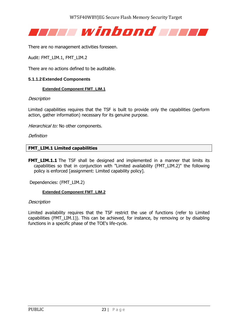

There are no management activities foreseen.

Audit: FMT\_LIM.1, FMT\_LIM.2

There are no actions defined to be auditable.

#### **5.1.1.2Extended Components**

#### **Extended Component FMT\_LIM.1**

#### **Description**

Limited capabilities requires that the TSF is built to provide only the capabilities (perform action, gather information) necessary for its genuine purpose.

Hierarchical to: No other components.

Definition

#### **FMT\_LIM.1 Limited capabilities**

**FMT\_LIM.1.1** The TSF shall be designed and implemented in a manner that limits its capabilities so that in conjunction with "Limited availability (FMT\_LIM.2)" the following policy is enforced [assignment: Limited capability policy].

Dependencies: (FMT\_LIM.2)

#### **Extended Component FMT\_LIM.2**

#### **Description**

Limited availability requires that the TSF restrict the use of functions (refer to Limited capabilities (FMT\_LIM.1)). This can be achieved, for instance, by removing or by disabling functions in a specific phase of the TOE's life-cycle.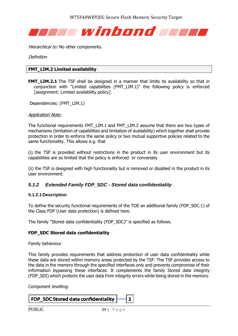

Hierarchical to: No other components.

**Definition** 

#### **FMT\_LIM.2 Limited availability**

**FMT LIM.2.1** The TSF shall be designed in a manner that limits its availability so that in conjunction with "Limited capabilities (FMT\_LIM.1)" the following policy is enforced [assignment: Limited availability policy].

Dependencies: (FMT\_LIM.1)

#### Application Note:

The functional requirements FMT\_LIM.1 and FMT\_LIM.2 assume that there are two types of mechanisms (limitation of capabilities and limitation of availability) which together shall provide protection in order to enforce the same policy or two mutual supportive policies related to the same functionality. This allows e.g. that

(i) the TSF is provided without restrictions in the product in its user environment but its capabilities are so limited that the policy is enforced or conversely

(ii) the TSF is designed with high functionality but is removed or disabled in the product in its user environment.

#### <span id="page-23-0"></span>*5.1.2 Extended Family FDP\_SDC - Stored data confidentiality*

#### **5.1.2.1 Description**

To define the security functional requirements of the TOE an additional family (FDP\_SDC.1) of the Class FDP (User data protection) is defined here.

The family "Stored data confidentiality (FDP\_SDC)" is specified as follows.

#### **FDP\_SDC Stored data confidentiality**

Family behaviour

This family provides requirements that address protection of user data confidentiality while these data are stored within memory areas protected by the TSF. The TSF provides access to the data in the memory through the specified interfaces only and prevents compromise of their information bypassing these interfaces. It complements the family Stored data integrity (FDP SDI) which protects the user data from integrity errors while being stored in the memory.

Component levelling: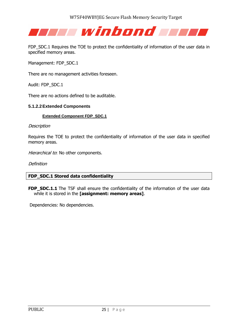

FDP\_SDC.1 Requires the TOE to protect the confidentiality of information of the user data in specified memory areas.

Management: FDP\_SDC.1

There are no management activities foreseen.

Audit: FDP\_SDC.1

There are no actions defined to be auditable.

#### **5.1.2.2Extended Components**

#### **Extended Component FDP\_SDC.1**

**Description** 

Requires the TOE to protect the confidentiality of information of the user data in specified memory areas.

Hierarchical to: No other components.

**Definition** 

#### **FDP\_SDC.1 Stored data confidentiality**

**FDP\_SDC.1.1** The TSF shall ensure the confidentiality of the information of the user data while it is stored in the **[assignment: memory areas]**.

Dependencies: No dependencies.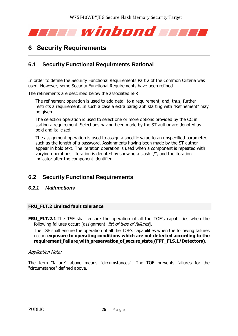<span id="page-25-4"></span>

## <span id="page-25-0"></span>**6 Security Requirements**

## <span id="page-25-1"></span>**6.1 Security Functional Requirments Rational**

In order to define the Security Functional Requirements Part 2 of the Common Criteria was used. However, some Security Functional Requirements have been refined.

The refinements are described below the associated SFR:

The refinement operation is used to add detail to a requirement, and, thus, further restricts a requirement. In such a case a extra paragraph starting with "Refinement" may be given.

The selection operation is used to select one or more options provided by the CC in stating a requirement. Selections having been made by the ST author are denoted as bold and italicized.

The assignment operation is used to assign a specific value to an unspecified parameter, such as the length of a password. Assignments having been made by the ST author appear in bold text. The iteration operation is used when a component is repeated with varying operations. Iteration is denoted by showing a slash "/", and the iteration indicator after the component identifier.

## <span id="page-25-2"></span>**6.2 Security Functional Requirements**

#### <span id="page-25-3"></span>*6.2.1 Malfunctions*

#### **FRU\_FLT.2 Limited fault tolerance**

**FRU\_FLT.2.1** The TSF shall ensure the operation of all the TOE's capabilities when the following failures occur: [assignment: list of type of failures].

The TSF shall ensure the operation of all the TOE's capabilities when the following failures occur: **exposure to operating conditions which are not detected according to the requirement Failure with preservation of secure state (FPT\_FLS.1/Detectors)**.

#### Application Note:

The term "failure" above means "circumstances". The TOE prevents failures for the "circumstance" defined above.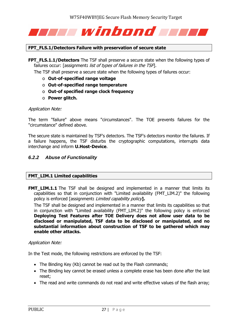<span id="page-26-1"></span>

#### **FPT\_FLS.1/Detectors Failure with preservation of secure state**

**FPT\_FLS.1.1/Detectors** The TSF shall preserve a secure state when the following types of failures occur: [assignment**:** list of types of failures in the TSF].

The TSF shall preserve a secure state when the following types of failures occur:

- o **Out-of-specified range voltage**
- o **Out-of-specified range temperature**
- o **Out-of specified range clock frequency**
- o **Power glitch.**

#### Application Note:

The term "failure" above means "circumstances". The TOE prevents failures for the "circumstance" defined above.

The secure state is maintained by TSF's detectors. The TSF's detectors monitor the failures. If a failure happens, the TSF disturbs the cryptographic computations, interrupts data interchange and inform **U.Host-Device**.

#### <span id="page-26-0"></span>*6.2.2 Abuse of Functionality*

#### **FMT\_LIM.1 Limited capabilities**

**FMT LIM.1.1** The TSF shall be designed and implemented in a manner that limits its capabilities so that in conjunction with "Limited availability (FMT\_LIM.2)" the following policy is enforced [assignment**:** Limited capability policy**].**

The TSF shall be designed and implemented in a manner that limits its capabilities so that in conjunction with "Limited availability (FMT\_LIM.2)" the following policy is enforced **Deploying Test Features after TOE Delivery does not allow user data to be disclosed or manipulated, TSF data to be disclosed or manipulated, and no substantial information about construction of TSF to be gathered which may enable other attacks.**

#### Application Note:

In the Test mode, the following restrictions are enforced by the TSF:

- The Binding Key (Kb) cannot be read out by the Flash commands;
- The Binding key cannot be erased unless a complete erase has been done after the last reset;
- The read and write commands do not read and write effective values of the flash array;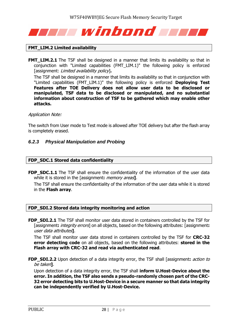<span id="page-27-1"></span>

#### **FMT\_LIM.2 Limited availability**

**FMT\_LIM.2.1** The TSF shall be designed in a manner that limits its availability so that in conjunction with "Limited capabilities (FMT\_LIM.1)" the following policy is enforced [assignment: Limited availability policy]**.**

The TSF shall be designed in a manner that limits its availability so that in conjunction with "Limited capabilities (FMT\_LIM.1)" the following policy is enforced **Deploying Test Features after TOE Delivery does not allow user data to be disclosed or manipulated, TSF data to be disclosed or manipulated, and no substantial information about construction of TSF to be gathered which may enable other attacks.**

#### Application Note:

The switch from User mode to Test mode is allowed after TOE delivery but after the flash array is completely erased.

#### <span id="page-27-0"></span>*6.2.3 Physical Manipulation and Probing*

#### **FDP\_SDC.1 Stored data confidentiality**

**FDP\_SDC.1.1** The TSF shall ensure the confidentiality of the information of the user data while it is stored in the [assignment**:** memory areas**]**.

The TSF shall ensure the confidentiality of the information of the user data while it is stored in the **Flash array**.

#### **FDP\_SDI.2 Stored data integrity monitoring and action**

**FDP\_SDI.2.1** The TSF shall monitor user data stored in containers controlled by the TSF for [assignment**:** integrity errors] on all objects, based on the following attributes: [assignment**:**  user data attributes**]**.

The TSF shall monitor user data stored in containers controlled by the TSF for **CRC-32 error detecting code** on all objects, based on the following attributes: **stored in the Flash array with CRC-32 and read via authenticated read**.

**FDP SDI.2.2** Upon detection of a data integrity error, the TSF shall [assignment: *action to* be taken**]**.

Upon detection of a data integrity error, the TSF shall **inform U.Host-Device about the error. In addition, the TSF also sends a pseudo-randomly chosen part of the CRC-32 error detecting bits to U.Host-Device in a secure manner so that data integrity can be independently verified by U.Host-Device.**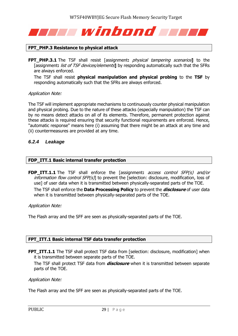<span id="page-28-1"></span>

#### **FPT\_PHP.3 Resistance to physical attack**

**FPT PHP.3.1** The TSF shall resist [assignment: *physical tampering scenarios*] to the [assignment**:** list of TSF devices/elements**]** by responding automatically such that the SFRs are always enforced.

The TSF shall resist **physical manipulation and physical probing** to the **TSF** by responding automatically such that the SFRs are always enforced.

#### Application Note:

The TSF will implement appropriate mechanisms to continuously counter physical manipulation and physical probing. Due to the nature of these attacks (especially manipulation) the TSF can by no means detect attacks on all of its elements. Therefore, permanent protection against these attacks is required ensuring that security functional requirements are enforced. Hence, "automatic response" means here (i) assuming that there might be an attack at any time and (ii) countermeasures are provided at any time.

#### <span id="page-28-0"></span>*6.2.4 Leakage*

#### **FDP\_ITT.1 Basic internal transfer protection**

**FDP\_ITT.1.1** The TSF shall enforce the [assignment**:** access control SFP(s) and/or information flow control SFP(s)] to prevent the [selection: disclosure, modification, loss of use] of user data when it is transmitted between physically-separated parts of the TOE. The TSF shall enforce the **Data Processing Policy** to prevent the **disclosure** of user data when it is transmitted between physically-separated parts of the TOE.

#### Application Note:

The Flash array and the SFF are seen as physically-separated parts of the TOE.

#### **FPT\_ITT.1 Basic internal TSF data transfer protection**

**FPT\_ITT.1.1** The TSF shall protect TSF data from [selection: disclosure, modification] when it is transmitted between separate parts of the TOE.

The TSF shall protect TSF data from **disclosure** when it is transmitted between separate parts of the TOE.

#### Application Note:

The Flash array and the SFF are seen as physically-separated parts of the TOE.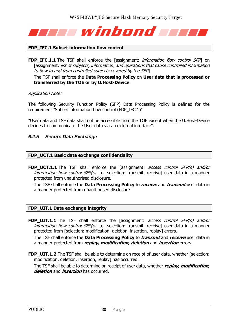<span id="page-29-1"></span>

#### **FDP\_IFC.1 Subset information flow control**

**FDP IFC.1.1** The TSF shall enforce the [assignment: *information flow control SFP*] on [assignment: list of subjects, information, and operations that cause controlled information to flow to and from controlled subjects covered by the SFP**]**.

The TSF shall enforce the **Data Processing Policy** on **User data that is processed or transferred by the TOE or by U.Host-Device**.

#### Application Note:

The following Security Function Policy (SFP) Data Processing Policy is defined for the requirement "Subset information flow control (FDP\_IFC.1)"

"User data and TSF data shall not be accessible from the TOE except when the U.Host-Device decides to communicate the User data via an external interface".

#### <span id="page-29-0"></span>*6.2.5 Secure Data Exchange*

#### **FDP\_UCT.1 Basic data exchange confidentiality**

**FDP\_UCT.1.1** The TSF shall enforce the [assignment: *access control SFP(s) and/or* information flow control SFP(s) to [selection: transmit, receive] user data in a manner protected from unauthorised disclosure.

The TSF shall enforce the **Data Processing Policy** to **receive** and **transmit** user data in a manner protected from unauthorised disclosure.

#### **FDP\_UIT.1 Data exchange integrity**

**FDP UIT.1.1** The TSF shall enforce the [assignment: *access control SFP(s) and/or* information flow control SFP(s) to [selection: transmit, receive] user data in a manner protected from [selection: modification, deletion, insertion, replay] errors.

The TSF shall enforce the **Data Processing Policy** to **transmit** and **receive** user data in a manner protected from **replay, modification, deletion** and **insertion** errors.

**FDP\_UIT.1.2** The TSF shall be able to determine on receipt of user data, whether [selection: modification, deletion, insertion, replay] has occurred.

The TSF shall be able to determine on receipt of user data, whether **replay, modification, deletion** and **insertion** has occurred.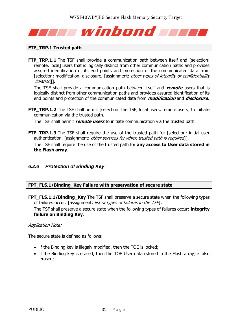# <span id="page-30-1"></span>aan a winbond aan ah

#### **FTP\_TRP.1 Trusted path**

**FTP\_TRP.1.1** The TSF shall provide a communication path between itself and [selection: remote, local] users that is logically distinct from other communication paths and provides assured identification of its end points and protection of the communicated data from [selection: modification, disclosure, [assignment: other types of integrity or confidentiality violation**]**].

The TSF shall provide a communication path between itself and **remote** users that is logically distinct from other communication paths and provides assured identification of its end points and protection of the communicated data from **modification** and **disclosure**.

**FTP\_TRP.1.2** The TSF shall permit [selection: the TSF, local users, remote users] to initiate communication via the trusted path.

The TSF shall permit **remote users** to initiate communication via the trusted path.

**FTP\_TRP.1.3** The TSF shall require the use of the trusted path for [selection: initial user authentication, [assignment: *other services for which trusted path is required*]]. The TSF shall require the use of the trusted path for **any access to User data stored in**

**the Flash array**.

#### <span id="page-30-0"></span>*6.2.6 Protection of Binding Key*

#### **FPT\_FLS.1/Binding\_Key Failure with preservation of secure state**

**FPT\_FLS.1.1/Binding\_Key** The TSF shall preserve a secure state when the following types of failures occur: [assignment: list of types of failures in the TSF**]**.

The TSF shall preserve a secure state when the following types of failures occur: **integrity failure on Binding Key**.

#### Application Note:

The secure state is defined as follows:

- if the Binding key is illegaly modified, then the TOE is locked;
- if the Binding key is erased, then the TOE User data (stored in the Flash array) is also erased;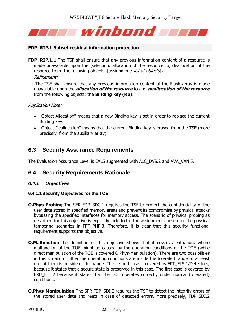

#### **FDP\_RIP.1 Subset residual information protection**

**FDP\_RIP.1.1** The TSF shall ensure that any previous information content of a resource is made unavailable upon the [selection: allocation of the resource to, deallocation of the resource from] the following objects: [assignment: list of objects**].** Refinement:

The TSF shall ensure that any previous information content of the Flash array is made unavailable upon the **allocation of the resource** to and **deallocation of the resource** from the following objects: the **Binding key (Kb)**.

#### Application Note:

- "Object Allocation" means that a new Binding key is set in order to replace the current Binding key.
- "Object Deallocation" means that the current Binding key is erased from the TSF (more precisely, from the auxiliary array).

### <span id="page-31-0"></span>**6.3 Security Assurance Requirements**

The Evaluation Assurance Level is EAL5 augmented with ALC\_DVS.2 and AVA\_VAN.5.

#### <span id="page-31-1"></span>**6.4 Security Requirements Rationale**

#### <span id="page-31-2"></span>*6.4.1 Objectives*

#### **6.4.1.1Security Objectives for the TOE**

- <span id="page-31-3"></span>**O.Phys-Probing** The SFR FDP SDC.1 requires the TSF to protect the confidentiality of the user data stored in specified memory areas and prevent its compromise by physical attacks bypassing the specified interfaces for memory access. The scenario of physical probing as described for this objective is explicitly included in the assignment chosen for the physical tampering scenarios in FPT PHP.3. Therefore, it is clear that this security functional requirement supports the objective.
- **O.Malfunction** The definition of this objective shows that it covers a situation, where malfunction of the TOE might be caused by the operating conditions of the TOE (while direct manipulation of the TOE is covered O.Phys-Manipulation). There are two possibilities in this situation: Either the operating conditions are inside the tolerated range or at least one of them is outside of this range. The second case is covered by FPT\_FLS.1/Detectors, because it states that a secure state is preserved in this case. The first case is covered by FRU FLT.2 because it states that the TOE operates correctly under normal (tolerated) conditions.
- **O.Phys-Manipulation** The SFR FDP\_SDI.2 requires the TSF to detect the integrity errors of the stored user data and react in case of detected errors. More precisely, FDP\_SDI.2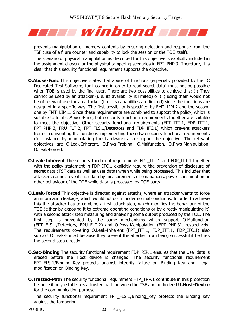# aan winbond and a

prevents manipulation of memory contents by ensuring detection and response from the TSF (use of a filure counter and capability to lock the session or the TOE itself).

The scenario of physical manipulation as described for this objective is explicitly included in the assignment chosen for the physical tampering scenarios in FPT\_PHP.3. Therefore, it is clear that this security functional requirement supports the objective.

- **O.Abuse-Func** This objective states that abuse of functions (especially provided by the IC Dedicated Test Software, for instance in order to read secret data) must not be possible when TOE is used by the final user. There are two possibilities to achieve this: (i) They cannot be used by an attacker (i. e. its availability is limited) or (ii) using them would not be of relevant use for an attacker (i. e. its capabilities are limited) since the functions are designed in a specific way. The first possibility is specified by FMT\_LIM.2 and the second one by FMT LIM.1. Since these requirements are combined to support the policy, which is suitable to fulfil O.Abuse-Func, both security functional requirements together are suitable to meet the objective. Other security functional requirements (FPT\_ITT.1, FDP\_ITT.1, FPT\_PHP.3, FRU\_FLT.2, FPT\_FLS.1/Detectors and FDP\_IFC.1) which prevent attackers from circumventing the functions implementing these two security functional requirements (for instance by manipulating the hardware) also support the objective. The relevant objectives are O.Leak-Inherent, O.Phys-Probing, O.Malfunction, O.Phys-Manipulation, O.Leak-Forced.
- **O.Leak-Inherent** The security functional requirements FPT ITT.1 and FDP ITT.1 together with the policy statement in FDP IFC.1 explicitly require the prevention of disclosure of secret data (TSF data as well as user data) when while being processed. This includes that attackers cannot reveal such data by measurements of emanations, power consumption or other behaviour of the TOE while data is processed by TOE parts.
- **O.Leak-Forced** This objective is directed against attacks, where an attacker wants to force an information leakage, which would not occur under normal conditions. In order to achieve this the attacker has to combine a first attack step, which modifies the behaviour of the TOE (either by exposing it to extreme operating conditions or by directly manipulating it) with a second attack step measuring and analysing some output produced by the TOE. The first step is prevented by the same mechanisms which support O.Malfunction (FPT\_FLS.1/Detectors, FRU\_FLT.2) and O.Phys-Manipulation (FPT\_PHP.3), respectively. The requirements covering O.Leak-Inherent (FPT\_ITT.1, FDP\_ITT.1, FDP\_IFC.1) also support O.Leak-Forced because they prevent the attacker from being successful if he tries the second step directly.
- **O.Sec-Binding** The security functional requirement FDP RIP.1 ensures that the User data is erased before the Host device is changed. The security functional requirement FPT FLS.1/Binding Key protects against integrity failure on Binding Key and illegal modification on Binding Key.
- **O.Trusted-Path** The security functional requirement FTP\_TRP.1 contribute in this protection because it only establishes a trusted path between the TSF and authorized **U.Host-Device** for the communication purpose.

The security functional requirement FPT FLS.1/Binding Key protects the Binding key against the tampering.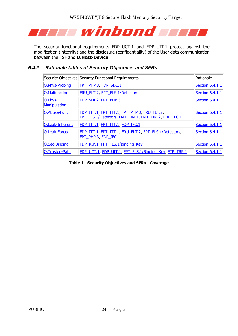

The security functional requirements FDP\_UCT.1 and FDP\_UIT.1 protect against the modification (integrity) and the disclosure (confidentiality) of the User data communication between the TSF and **U.Host-Device**.

#### <span id="page-33-0"></span>*6.4.2 Rationale tables of Security Objectives and SFRs*

|                                | Security Objectives Security Functional Requirements                                                | Rationale              |
|--------------------------------|-----------------------------------------------------------------------------------------------------|------------------------|
| O.Phys-Probing                 | FPT PHP.3, FDP SDC.1                                                                                | Section 6.4.1.1        |
| O.Malfunction                  | FRU FLT.2, FPT FLS.1/Detectors                                                                      | <b>Section 6.4.1.1</b> |
| O.Phys-<br><b>Manipulation</b> | FDP SDI.2, FPT PHP.3                                                                                | <b>Section 6.4.1.1</b> |
| O.Abuse-Func                   | FDP ITT.1, FPT ITT.1, FPT PHP.3, FRU FLT.2,<br>FPT FLS.1/Detectors, FMT LIM.1, FMT LIM.2, FDP IFC.1 | <b>Section 6.4.1.1</b> |
| O.Leak-Inherent                | FDP ITT.1, FPT ITT.1, FDP IFC.1                                                                     | Section 6.4.1.1        |
| O.Leak-Forced                  | FDP ITT.1, FPT ITT.1, FRU FLT.2, FPT FLS.1/Detectors,<br>FPT PHP.3, FDP IFC.1                       | <b>Section 6.4.1.1</b> |
| O.Sec-Binding                  | FDP RIP.1, FPT FLS.1/Binding Key                                                                    | Section 6.4.1.1        |
| O.Trusted-Path                 | FDP UCT.1, FDP UIT.1, FPT FLS.1/Binding Key, FTP TRP.1                                              | Section 6.4.1.1        |

#### <span id="page-33-1"></span>**Table 11 Security Objectives and SFRs - Coverage**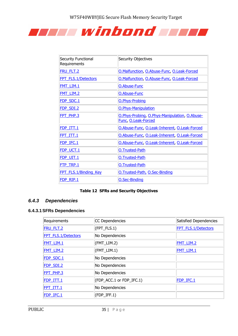

| <b>Security Functional</b><br>Requirements | Security Objectives                                                  |
|--------------------------------------------|----------------------------------------------------------------------|
| FRU FLT.2                                  | O.Malfunction, O.Abuse-Func, O.Leak-Forced                           |
| FPT FLS.1/Detectors                        | O.Malfunction, O.Abuse-Func, O.Leak-Forced                           |
| FMT LIM.1                                  | O.Abuse-Func                                                         |
| FMT LIM.2                                  | O.Abuse-Func                                                         |
| FDP SDC.1                                  | O.Phys-Probing                                                       |
| FDP SDI.2                                  | O.Phys-Manipulation                                                  |
| FPT PHP.3                                  | O.Phys-Probing, O.Phys-Manipulation, O.Abuse-<br>Func, O.Leak-Forced |
| FDP_ITT.1                                  | O.Abuse-Func, O.Leak-Inherent, O.Leak-Forced                         |
| FPT ITT.1                                  | O.Abuse-Func, O.Leak-Inherent, O.Leak-Forced                         |
| FDP IFC.1                                  | O.Abuse-Func, O.Leak-Inherent, O.Leak-Forced                         |
| FDP UCT.1                                  | O.Trusted-Path                                                       |
| FDP UIT.1                                  | O.Trusted-Path                                                       |
| FTP TRP.1                                  | O.Trusted-Path                                                       |
| FPT FLS.1/Binding Key                      | O.Trusted-Path, O.Sec-Binding                                        |
| FDP RIP.1                                  | O.Sec-Binding                                                        |

#### **Table 12 SFRs and Security Objectives**

#### <span id="page-34-1"></span><span id="page-34-0"></span>*6.4.3 Dependencies*

#### **6.4.3.1SFRs Dependencies**

| Requirements               | CC Dependencies                               | Satisfied Dependencies |
|----------------------------|-----------------------------------------------|------------------------|
| <b>FRU FLT.2</b>           | $\left \left(\text{FPT\_FLS.1}\right)\right $ | FPT FLS.1/Detectors    |
| <b>FPT FLS.1/Detectors</b> | No Dependencies                               |                        |
| FMT LIM.1                  | (FMT_LIM.2)                                   | <b>FMT LIM.2</b>       |
| <b>FMT LIM.2</b>           | $(FMT_LIM.1)$                                 | FMT LIM.1              |
| <b>FDP SDC.1</b>           | No Dependencies                               |                        |
| <b>FDP SDI.2</b>           | No Dependencies                               |                        |
| <b>FPT PHP.3</b>           | No Dependencies                               |                        |
| <b>FDP ITT.1</b>           | (FDP_ACC.1 or FDP_IFC.1)                      | FDP IFC.1              |
| <b>FPT ITT.1</b>           | No Dependencies                               |                        |
| FDP IFC.1                  | $(FDP_IFF.1)$                                 |                        |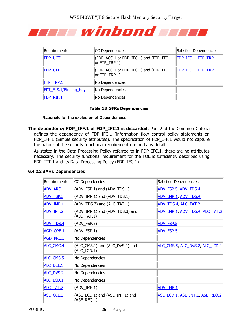# aan winbond and a

| Requirements          | CC Dependencies                                            | Satisfied Dependencies      |
|-----------------------|------------------------------------------------------------|-----------------------------|
| FDP UCT.1             | (FDP_ACC.1 or FDP_IFC.1) and (FTP_ITC.1<br>or $FTP_TRP.1)$ | FDP IFC.1, FTP TRP.1        |
| FDP UIT.1             | (FDP_ACC.1 or FDP_IFC.1) and (FTP_ITC.1<br>or $FTP_TRP.1)$ | <b>FDP IFC.1, FTP TRP.1</b> |
| <b>FTP TRP.1</b>      | No Dependencies                                            |                             |
| FPT FLS.1/Binding Key | No Dependencies                                            |                             |
| FDP RIP.1             | No Dependencies                                            |                             |

#### **Table 13 SFRs Dependencies**

<span id="page-35-0"></span>**Rationale for the exclusion of Dependencies**

**The dependency FDP\_IFF.1 of FDP\_IFC.1 is discarded.** Part 2 of the Common Criteria defines the dependency of FDP IFC.1 (information flow control policy statement) on FDP\_IFF.1 (Simple security attributes). The specification of FDP\_IFF.1 would not capture the nature of the security functional requirement nor add any detail.

As stated in the Data Processing Policy referred to in FDP IFC.1, there are no attributes necessary. The security functional requirement for the TOE is sufficiently described using FDP ITT.1 and its Data Processing Policy (FDP IFC.1).

| Requirements     | CC Dependencies                                   | Satisfied Dependencies          |
|------------------|---------------------------------------------------|---------------------------------|
| ADV ARC.1        | (ADV_FSP.1) and (ADV_TDS.1)                       | ADV FSP.5, ADV TDS.4            |
| ADV FSP.5        | (ADV_IMP.1) and (ADV_TDS.1)                       | ADV IMP.1, ADV TDS.4            |
| ADV IMP.1        | (ADV_TDS.3) and (ALC_TAT.1)                       | <b>ADV TDS.4, ALC TAT.2</b>     |
| ADV INT.2        | (ADV_IMP.1) and (ADV_TDS.3) and<br>(ALC_TAT.1)    | ADV IMP.1, ADV TDS.4, ALC TAT.2 |
| <b>ADV TDS.4</b> | (ADV_FSP.5)                                       | <b>ADV FSP.5</b>                |
| AGD OPE.1        | (ADV_FSP.1)                                       | <b>ADV FSP.5</b>                |
| <b>AGD PRE.1</b> | No Dependencies                                   |                                 |
| ALC CMC.4        | (ALC_CMS.1) and (ALC_DVS.1) and<br>(ALC_LCD.1)    | ALC CMS.5, ALC DVS.2, ALC LCD.1 |
| ALC CMS.5        | No Dependencies                                   |                                 |
| ALC DEL.1        | No Dependencies                                   |                                 |
| <b>ALC DVS.2</b> | No Dependencies                                   |                                 |
| ALC LCD.1        | No Dependencies                                   |                                 |
| ALC TAT.2        | $(ADV_IMP.1)$                                     | ADV IMP.1                       |
| ASE_CCL.1        | (ASE_ECD.1) and (ASE_INT.1) and<br>$(ASE\_REQ.1)$ | ASE_ECD.1, ASE_INT.1, ASE_REQ.2 |

#### **6.4.3.2SARs Dependencies**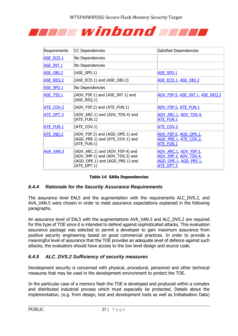# aan winbond and a

| Requirements     | CC Dependencies                                                                                                      | Satisfied Dependencies                                                               |
|------------------|----------------------------------------------------------------------------------------------------------------------|--------------------------------------------------------------------------------------|
| <b>ASE ECD.1</b> | No Dependencies                                                                                                      |                                                                                      |
| ASE INT.1        | No Dependencies                                                                                                      |                                                                                      |
| ASE OBJ.2        | $(ASE\_SPD.1)$                                                                                                       | <b>ASE SPD.1</b>                                                                     |
| <b>ASE REQ.2</b> | $(ASE_ECD.1)$ and $(ASE_OBJ.2)$                                                                                      | ASE ECD.1, ASE OBJ.2                                                                 |
| <b>ASE SPD.1</b> | No Dependencies                                                                                                      |                                                                                      |
| <b>ASE TSS.1</b> | (ADV_FSP.1) and (ASE_INT.1) and<br>$(ASE\_REQ.1)$                                                                    | <u>ADV FSP.5, ASE INT.1, ASE REQ.2</u>                                               |
| <b>ATE COV.2</b> | (ADV_FSP.2) and (ATE_FUN.1)                                                                                          | ADV FSP.5, ATE FUN.1                                                                 |
| ATE DPT.3        | (ADV_ARC.1) and (ADV_TDS.4) and<br>(ATE_FUN.1)                                                                       | ADV ARC.1, ADV TDS.4,<br>ATE FUN.1                                                   |
| <b>ATE FUN.1</b> | (ATE_COV.1)                                                                                                          | <b>ATE COV.2</b>                                                                     |
| ATE IND.2        | (ADV_FSP.2) and (AGD_OPE.1) and<br>(AGD_PRE.1) and (ATE_COV.1) and<br>(ATE_FUN.1)                                    | ADV FSP.5, AGD OPE.1,<br>AGD PRE.1, ATE COV.2,<br><b>ATE FUN.1</b>                   |
| <b>AVA VAN.5</b> | (ADV_ARC.1) and (ADV_FSP.4) and<br>(ADV_IMP.1) and (ADV_TDS.3) and<br>(AGD_OPE.1) and (AGD_PRE.1) and<br>(ATE_DPT.1) | ADV ARC.1, ADV FSP.5,<br>ADV IMP.1, ADV TDS.4,<br>AGD OPE.1, AGD PRE.1,<br>ATE DPT.3 |

#### **Table 14 SARs Dependencies**

#### <span id="page-36-2"></span><span id="page-36-0"></span>*6.4.4 Rationale for the Security Assurance Requirements*

The assurance level EAL5 and the augmentation with the requirements ALC\_DVS.2, and AVA\_VAN.5 were chosen in order to meet assurance expectations explained in the following paragraphs.

An assurance level of EAL5 with the augmentations AVA\_VAN.5 and ALC\_DVS.2 are required for this type of TOE since it is intended to defend against sophisticated attacks. This evaluation assurance package was selected to permit a developer to gain maximum assurance from positive security engineering based on good commercial practices. In order to provide a meaningful level of assurance that the TOE provides an adequate level of defence against such attacks, the evaluators should have access to the low level design and source code.

#### <span id="page-36-1"></span>*6.4.5 ALC\_DVS.2 Sufficiency of security measures*

Development security is concerned with physical, procedural, personnel and other technical measures that may be used in the development environment to protect the TOE.

In the particular case of a memory flash the TOE is developed and produced within a complex and distributed industrial process which must especially be protected. Details about the implementation, (e.g. from design, test and development tools as well as Initialisation Data)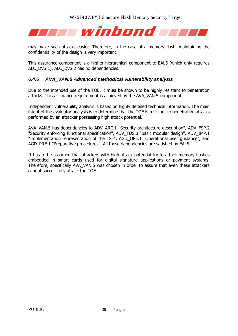

may make such attacks easier. Therefore, in the case of a memory flash, maintaining the confidentiality of the design is very important.

This assurance component is a higher hierarchical component to EAL5 (which only requires ALC\_DVS.1). ALC\_DVS.2 has no dependencies.

#### <span id="page-37-0"></span>*6.4.6 AVA\_VAN.5 Advanced methodical vulnerability analysis*

Due to the intended use of the TOE, it must be shown to be highly resistant to penetration attacks. This assurance requirement is achieved by the AVA\_VAN.5 component.

Independent vulnerability analysis is based on highly detailed technical information. The main intent of the evaluator analysis is to determine that the TOE is resistant to penetration attacks performed by an attacker possessing high attack potential.

AVA\_VAN.5 has dependencies to ADV\_ARC.1 "Security architecture description", ADV\_FSP.2 "Security enforcing functional specification", ADV\_TDS.3 "Basic modular design", ADV\_IMP.1 "Implementation representation of the TSF", AGD\_OPE.1 "Operational user guidance", and AGD\_PRE.1 "Preparative procedures". All these dependencies are satisfied by EAL5.

It has to be assumed that attackers with high attack potential try to attack memory flashes embedded in smart cards used for digital signature applications or payment systems. Therefore, specifically AVA\_VAN.5 was chosen in order to assure that even these attackers cannot successfully attack the TOE.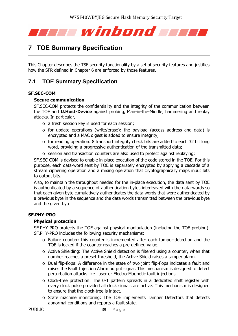

## <span id="page-38-0"></span>**7 TOE Summary Specification**

This Chapter describes the TSF security functionality by a set of security features and justifies how the SFR defined in Chapter 6 are enforced by those features.

## <span id="page-38-1"></span>**7.1 TOE Summary Specification**

#### <span id="page-38-3"></span>**SF.SEC-COM**

#### **Secure communication**

SF.SEC-COM protects the confidentiality and the integrity of the communication between the TOE and **U.Host-Device** against probing, Man-in-the-Middle, hammering and replay attacks. In particular,

- o a fresh session key is used for each session;
- o for update operations (write/erase): the payload (access address and data) is encrypted and a MAC digest is added to ensure integrity;
- o for reading operation: 8 transport integrity check bits are added to each 32 bit long word, providing a progressive authentication of the transmitted data;
- o session and transaction counters are also used to protect against replaying;

SF.SEC-COM is devised to enable in-place execution of the code stored in the TOE. For this purpose, each data-word sent by TOE is separately encrypted by applying a cascade of a stream ciphering operation and a mixing operation that cryptographically maps input bits to output bits.

Also, to maintain the throughput needed for the in-place execution, the data sent by TOE is authenticated by a sequence of authentication bytes interleaved with the data-words so that each given byte cumulatively authenticates the data words that were authenticated by a previous byte in the sequence and the data words transmitted between the previous byte and the given byte.

#### <span id="page-38-2"></span>**SF.PHY-PRO**

#### **Physical protection**

SF.PHY-PRO protects the TOE against physical manipulation (including the TOE probing). SF.PHY-PRO includes the following security mechanisms:

- o Failure counter: this counter is incremented after each tamper-detection and the TOE is locked if the counter reaches a pre-defined value.
- o Active Shielding: The Active Shield detection is filtered using a counter, when that number reaches a preset threshold, the Active Shield raises a tamper alarm.
- o Dual flip-flops: A difference in the state of two joint flip-flops indicates a fault and raises the Fault Injection Alarm output signal. This mechanism is designed to detect perturbation attacks like Laser or Electro-Magnetic fault injections.
- o Clock-tree protection: The 0-1 pattern spreads in a dedicated shift register with every clock pulse provided all clock signals are active. This mechanism is designed to ensure that the clock-tree is intact.
- o State machine monitoring: The TOE implements Tamper Detectors that detects abnormal conditions and reports a fault state.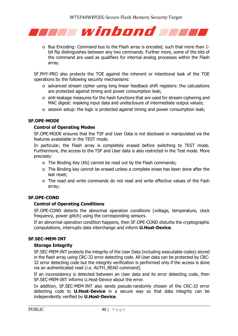

o Bus Encoding: Command bus to the Flash array is encoded, such that more than 1 bit flip distinguishes between any two commands. Further more, some of the bits of the command are used as qualifiers for internal analog processes within the Flash array.

SF.PHY-PRO also protects the TOE against the inherent or intentional leak of the TOE operations by the following security mechanisms:

- o advanced stream cipher using long linear feedback shift registers: the calculations are protected against timing and power consumption leak;
- o anti-leakage measures for the hash functions that are used for stream-ciphering and MAC digest: masking input data and undisclosure of intermediate output values;
- o session setup: the logic is protected against timing and power consumption leak;

#### <span id="page-39-1"></span>**SF.OPE-MODE**

#### **Control of Operating Modes**

SF.OPE-MODE ensures that the TSF and User Data is not disclosed or manipulated via the features avalailable in the TEST mode.

In particular, the Flash array is completely erased before switching to TEST mode. Furthermore, the access to the TSF and User data is also restricted in the Test mode. More precisely:

- o The Binding Key (Kb) cannot be read out by the Flash commands;
- o The Binding key cannot be erased unless a complete erase has been done after the last reset;
- o The read and write commands do not read and write effective values of the Fash array;

#### <span id="page-39-0"></span>**SF.OPE-COND**

#### **Control of Operating Conditions**

SF.OPE-COND detects the abnormal operation conditions (voltage, temperature, clock frequency, power glitch) using the corresponding sensors.

If an abnormal operation condition happens, then SF.OPE-COND disturbs the cryptographic computations, interrupts data interchange and inform **U.Host-Device**.

#### <span id="page-39-2"></span>**SF.SEC-MEM-INT**

#### **Storage Integrity**

SF.SEC-MEM-INT protects the integrity of the User Data (including executable codes) stored in the flash array using CRC-32 error detecting code. All User data can be protected by CRC-32 error detecting code but the integrity verification is performed only if the access is done via an authenticated read (i.e. AUTH\_READ command).

If an inconsistency is detected between an User data and its error detecting code, then SF.SEC-MEM-INT informs U.Host-Device about the error.

In addition, SF.SEC-MEM-INT also sends pseudo-randomly chosen of the CRC-32 error detecting code to **U.Host-Device** in a secure way so that data integrity can be independently verified by **U.Host-Device**.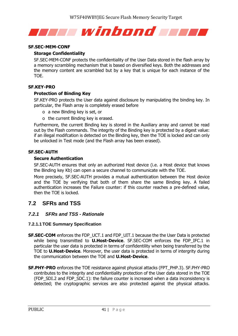

#### <span id="page-40-2"></span>**SF.SEC-MEM-CONF**

#### **Storage Confidentiality**

SF.SEC-MEM-CONF protects the confidentiality of the User Data stored in the flash array by a memory scrambling mechanism that is based on diversified keys. Both the addresses and the memory content are scrambled but by a key that is unique for each instance of the TOE.

#### <span id="page-40-4"></span>**SF.KEY-PRO**

#### **Protection of Binding Key**

SF.KEY-PRO protects the User data against disclosure by manipulating the binding key. In particular, the Flash array is completely erased before

- o a new Binding key is set, or
- o the current Binding key is erased.

Furthermore, the current Binding key is stored in the Auxiliary array and cannot be read out by the Flash commands. The integrity of the Binding key is protected by a digest value: if an illegal modifcation is detected on the Binding key, then the TOE is locked and can only be unlocked in Test mode (and the Flash array has been erased).

#### <span id="page-40-3"></span>**SF.SEC-AUTH**

#### **Secure Authentication**

SF.SEC-AUTH ensures that only an authorized Host device (i.e. a Host device that knows the Binding key Kb) can open a secure channel to communicate with the TOE.

More precisely, SF.SEC-AUTH provides a mutual authentication between the Host device and the TOE by verifying that both of them share the same Binding key. A failed authentication increases the Failure counter: if this counter reaches a pre-defined value, then the TOE is locked.

#### <span id="page-40-0"></span>**7.2 SFRs and TSS**

#### <span id="page-40-1"></span>*7.2.1 SFRs and TSS - Rationale*

#### **7.2.1.1TOE Summary Specification**

- **SF.SEC-COM** enforces the FDP\_UCT.1 and FDP\_UIT.1 because the the User Data is protected while being transmitted to **U.Host-Device**. SF.SEC-COM enforces the FDP\_IFC.1 in particular the user data is protected in terms of confidentility when being transferred by the TOE to **U.Host-Device**. Moreover, the user data is protected in terms of intergrity during the communication between the TOE and **U.Host-Device**.
- **SF.PHY-PRO** enforces the TOE resistance against physical attacks (FPT\_PHP.3). SF.PHY-PRO contributes to the integrity and confidentiality protection of the User data stored in the TOE (FDP\_SDI.2 and FDP\_SDC.1): the failure counter is increased when a data inconsistency is detected; the cryptographic services are also protected against the physical attacks.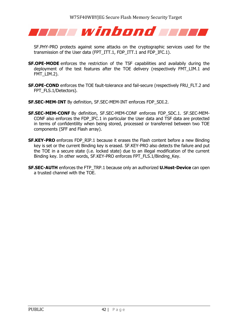

SF.PHY-PRO protects against some attacks on the cryptographic services used for the transmission of the User data (FPT\_ITT.1, FDP\_ITT.1 and FDP\_IFC.1).

- **SF.OPE-MODE** enforces the restriction of the TSF capabilities and availabily during the deployment of the test features after the TOE delivery (respectively FMT\_LIM.1 and FMT\_LIM.2).
- **SF.OPE-COND** enforces the TOE fault-tolerance and fail-secure (respectively FRU\_FLT.2 and FPT\_FLS.1/Detectors).
- **SF.SEC-MEM-INT** By definition, SF.SEC-MEM-INT enforces FDP\_SDI.2.
- **SF.SEC-MEM-CONF** By definition, SF.SEC-MEM-CONF enforces FDP\_SDC.1. SF.SEC-MEM-CONF also enforces the FDP\_IFC.1 in particular the User data and TSF data are protected in terms of confidentility when being stored, processed or transferred between two TOE components (SFF and Flash array).
- **SF.KEY-PRO** enforces FDP\_RIP.1 because it erases the Flash content before a new Binding key is set or the current Binding key is erased. SF.KEY-PRO also detects the failure and put the TOE in a secure state (i.e. locked state) due to an illegal modification of the current Binding key. In other words, SF.KEY-PRO enforces FPT\_FLS.1/Binding\_Key.
- **SF.SEC-AUTH** enforces the FTP\_TRP.1 because only an authorized **U.Host-Device** can open a trusted channel with the TOE.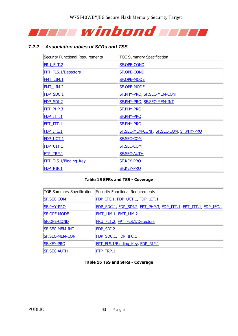

### <span id="page-42-0"></span>*7.2.2 Association tables of SFRs and TSS*

| Security Functional Requirements | <b>TOE Summary Specification</b>        |
|----------------------------------|-----------------------------------------|
| <b>FRU FLT.2</b>                 | <b>SF.OPE-COND</b>                      |
| FPT FLS.1/Detectors              | <b>SF.OPE-COND</b>                      |
| <b>FMT LIM.1</b>                 | <b>SF.OPE-MODE</b>                      |
| FMT LIM.2                        | <b>SF.OPE-MODE</b>                      |
| FDP SDC.1                        | SF.PHY-PRO, SF.SEC-MEM-CONF             |
| FDP SDI.2                        | SF.PHY-PRO, SF.SEC-MEM-INT              |
| FPT PHP.3                        | <b>SF.PHY-PRO</b>                       |
| FDP ITT.1                        | <b>SF.PHY-PRO</b>                       |
| <b>FPT ITT.1</b>                 | <b>SF.PHY-PRO</b>                       |
| FDP IFC.1                        | SF.SEC-MEM-CONF, SF.SEC-COM, SF.PHY-PRO |
| FDP UCT.1                        | <b>SF.SEC-COM</b>                       |
| FDP UIT.1                        | <b>SF.SEC-COM</b>                       |
| FTP TRP.1                        | <b>SF.SEC-AUTH</b>                      |
| FPT FLS.1/Binding Key            | <b>SF.KEY-PRO</b>                       |
| FDP RIP.1                        | <b>SF.KEY-PRO</b>                       |

#### **Table 15 SFRs and TSS - Coverage**

<span id="page-42-1"></span>

| <b>TOE Summary Specification</b> | Security Functional Requirements                                 |
|----------------------------------|------------------------------------------------------------------|
| <b>SF.SEC-COM</b>                | FDP IFC.1, FDP UCT.1, FDP UIT.1                                  |
| <b>SF.PHY-PRO</b>                | FDP SDC.1, FDP SDI.2, FPT PHP.3, FDP ITT.1, FPT ITT.1, FDP IFC.1 |
| <b>SF.OPE-MODE</b>               | <u>FMT_LIM.1, FMT_LIM.2</u>                                      |
| <b>SF.OPE-COND</b>               | <b>FRU FLT.2, FPT FLS.1/Detectors</b>                            |
| <b>SF.SEC-MEM-INT</b>            | FDP SDI.2                                                        |
| <b>SF.SEC-MEM-CONF</b>           | FDP SDC.1, FDP IFC.1                                             |
| <b>SF.KEY-PRO</b>                | FPT FLS.1/Binding Key, FDP RIP.1                                 |
| <b>SF.SEC-AUTH</b>               | <u>FTP TRP.1</u>                                                 |

#### <span id="page-42-2"></span>**Table 16 TSS and SFRs - Coverage**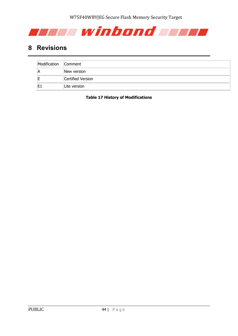

## <span id="page-43-0"></span>**8 Revisions**

<span id="page-43-1"></span>

| Modification | Comment           |
|--------------|-------------------|
| IА           | New version       |
|              | Certified Version |
| IE.          | Lite version      |

**Table 17 History of Modifications**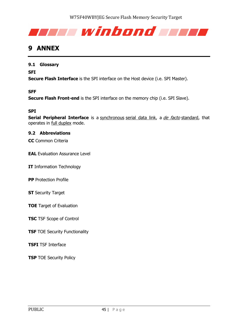

## <span id="page-44-0"></span>**9 ANNEX**

#### <span id="page-44-1"></span>**9.1 Glossary**

#### **SFI**

**Secure Flash Interface** is the SPI interface on the Host device (i.e. SPI Master).

#### **SFF**

**Secure Flash Front-end** is the SPI interface on the memory chip (i.e. SPI Slave).

#### **SPI**

**Serial Peripheral Interface** is a [synchronous](http://en.wikipedia.org/wiki/Synchronous_circuit) [serial data link,](http://en.wikipedia.org/wiki/Serial_communications) a *de facto* [standard,](http://en.wikipedia.org/wiki/De_facto_standard) that operates in [full duplex](http://en.wikipedia.org/wiki/Full_duplex) mode.

#### <span id="page-44-2"></span>**9.2 Abbreviations**

**CC** Common Criteria

**EAL** Evaluation Assurance Level

**IT** Information Technology

**PP** Protection Profile

**ST** Security Target

**TOE** Target of Evaluation

**TSC** TSF Scope of Control

**TSF** TOE Security Functionality

#### **TSFI** TSF Interface

**TSP** TOE Security Policy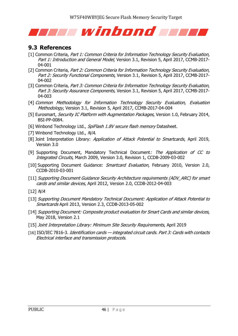

## <span id="page-45-0"></span>**9.3 References**

- [1] Common Criteria, Part 1: Common Criteria for Information Technology Security Evaluation, Part 1: Introduction and General Model, Version 3.1, Revision 5, April 2017, CCMB-2017-04-001
- [2] Common Criteria, Part 2: Common Criteria for Information Technology Security Evaluation, Part 2: Security Functional Components, Version 3.1, Revision 5, April 2017, CCMB-2017-04-002
- [3] Common Criteria, Part 3: Common Criteria for Information Technology Security Evaluation, Part 3: Security Assurance Components, Version 3.1, Revision 5, April 2017, CCMB-2017-04-003
- [4] Common Methodology for Information Technology Security Evaluation, Evaluation Methodology, Version 3.1, Revision 5, April 2017, CCMB-2017-04-004
- [5] Eurosmart, Security IC Platform with Augmentation Packages, Version 1.0, February 2014, BSI-PP-0084.
- [6] Winbond Technology Ltd., SpiFlash 1.8V secure flash memory Datasheet.
- [7] Winbond Technology Ltd., N/A.
- [8] Joint Interpretation Library: Application of Attack Potential to Smartcards, April 2019, Version 3.0
- [9] Supporting Document, Mandatory Technical Document: The Application of CC to Integrated Circuits, March 2009, Version 3.0, Revision 1, CCDB-2009-03-002
- [10] Supporting Document Guidance: *Smartcard Evaluation*, February 2010, Version 2.0, CCDB-2010-03-001
- [11] Supporting Document Guidance Security Architecture requirements (ADV\_ARC) for smart cards and similar devices, April 2012, Version 2.0, CCDB-2012-04-003
- $[12] N/A$
- [13] Supporting Document Mandatory Technical Document: Application of Attack Potential to Smartcards April 2013, Version 2.3, CCDB-2013-05-002
- [14] Supporting Document: Composite product evaluation for Smart Cards and similar devices, May 2018, Version 2.1
- [15] Joint Interpretation Library: Minimum Site Security Requirements, April 2019
- [16] ISO/IEC 7816-3. Identification cards integrated circuit cards. Part 3: Cards with contacts Electrical interface and transmission protocols.